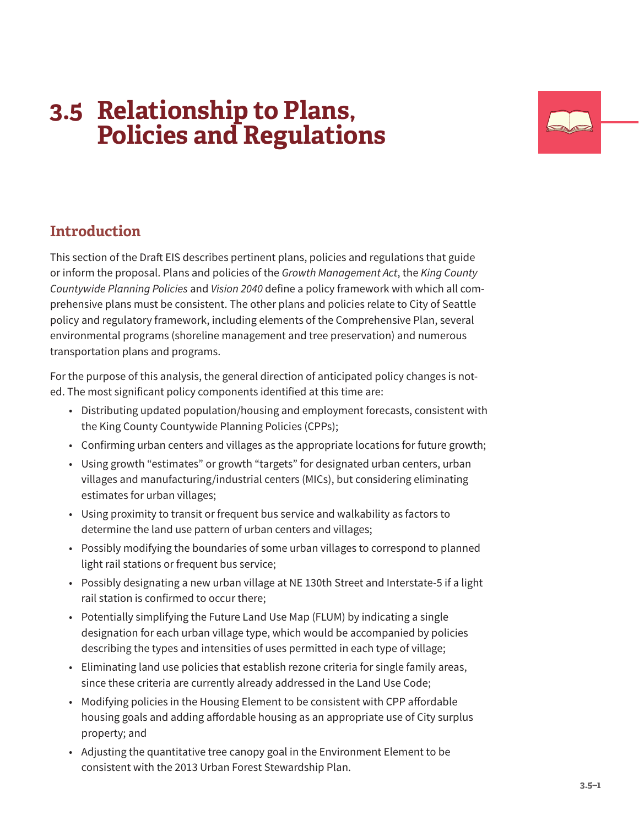# **3.5 Relationship to Plans, Policies and Regulations**



# **Introduction**

This section of the Draft EIS describes pertinent plans, policies and regulations that guide or inform the proposal. Plans and policies of the *Growth Management Act*, the *King County Countywide Planning Policies* and *Vision 2040* define a policy framework with which all comprehensive plans must be consistent. The other plans and policies relate to City of Seattle policy and regulatory framework, including elements of the Comprehensive Plan, several environmental programs (shoreline management and tree preservation) and numerous transportation plans and programs.

For the purpose of this analysis, the general direction of anticipated policy changes is noted. The most significant policy components identified at this time are:

- Distributing updated population/housing and employment forecasts, consistent with the King County Countywide Planning Policies (CPPs);
- Confirming urban centers and villages as the appropriate locations for future growth;
- Using growth "estimates" or growth "targets" for designated urban centers, urban villages and manufacturing/industrial centers (MICs), but considering eliminating estimates for urban villages;
- Using proximity to transit or frequent bus service and walkability as factors to determine the land use pattern of urban centers and villages;
- Possibly modifying the boundaries of some urban villages to correspond to planned light rail stations or frequent bus service;
- Possibly designating a new urban village at NE 130th Street and Interstate-5 if a light rail station is confirmed to occur there;
- Potentially simplifying the Future Land Use Map (FLUM) by indicating a single designation for each urban village type, which would be accompanied by policies describing the types and intensities of uses permitted in each type of village;
- Eliminating land use policies that establish rezone criteria for single family areas, since these criteria are currently already addressed in the Land Use Code;
- Modifying policies in the Housing Element to be consistent with CPP affordable housing goals and adding affordable housing as an appropriate use of City surplus property; and
- Adjusting the quantitative tree canopy goal in the Environment Element to be consistent with the 2013 Urban Forest Stewardship Plan.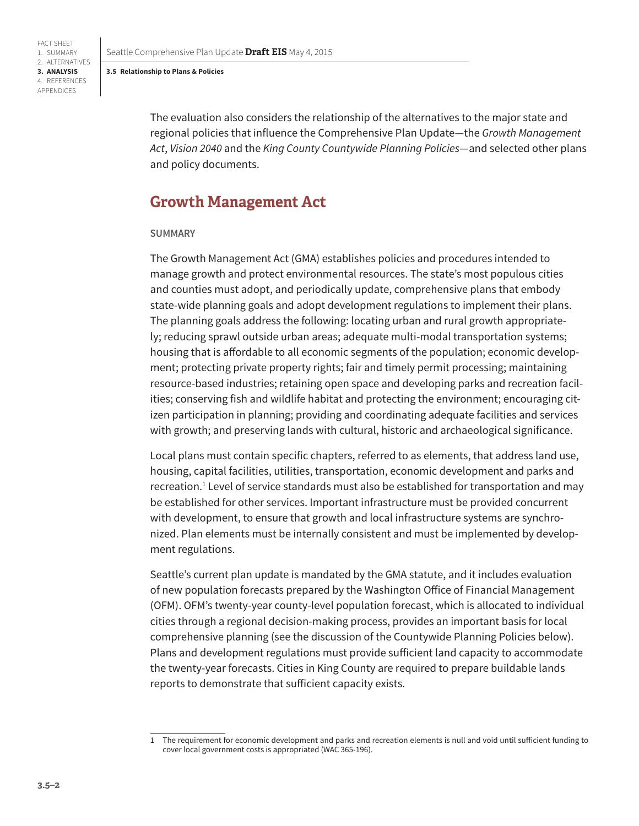FACT SHEET 1. SUMMARY 2. ALTERNATIVES **3. ANALYSIS** 4. REFERENCES APPENDICES

Seattle Comprehensive Plan Update **Draft EIS** May 4, 2015

#### **3.5 Relationship to Plans & Policies**

The evaluation also considers the relationship of the alternatives to the major state and regional policies that influence the Comprehensive Plan Update—the *Growth Management Act*, *Vision 2040* and the *King County Countywide Planning Policies*—and selected other plans and policy documents.

# **Growth Management Act**

### **SUMMARY**

The Growth Management Act (GMA) establishes policies and procedures intended to manage growth and protect environmental resources. The state's most populous cities and counties must adopt, and periodically update, comprehensive plans that embody state-wide planning goals and adopt development regulations to implement their plans. The planning goals address the following: locating urban and rural growth appropriately; reducing sprawl outside urban areas; adequate multi-modal transportation systems; housing that is affordable to all economic segments of the population; economic development; protecting private property rights; fair and timely permit processing; maintaining resource-based industries; retaining open space and developing parks and recreation facilities; conserving fish and wildlife habitat and protecting the environment; encouraging citizen participation in planning; providing and coordinating adequate facilities and services with growth; and preserving lands with cultural, historic and archaeological significance.

Local plans must contain specific chapters, referred to as elements, that address land use, housing, capital facilities, utilities, transportation, economic development and parks and recreation.<sup>1</sup> Level of service standards must also be established for transportation and may be established for other services. Important infrastructure must be provided concurrent with development, to ensure that growth and local infrastructure systems are synchronized. Plan elements must be internally consistent and must be implemented by development regulations.

Seattle's current plan update is mandated by the GMA statute, and it includes evaluation of new population forecasts prepared by the Washington Office of Financial Management (OFM). OFM's twenty-year county-level population forecast, which is allocated to individual cities through a regional decision-making process, provides an important basis for local comprehensive planning (see the discussion of the Countywide Planning Policies below). Plans and development regulations must provide sufficient land capacity to accommodate the twenty-year forecasts. Cities in King County are required to prepare buildable lands reports to demonstrate that sufficient capacity exists.

<sup>1</sup> The requirement for economic development and parks and recreation elements is null and void until sufficient funding to cover local government costs is appropriated (WAC 365-196).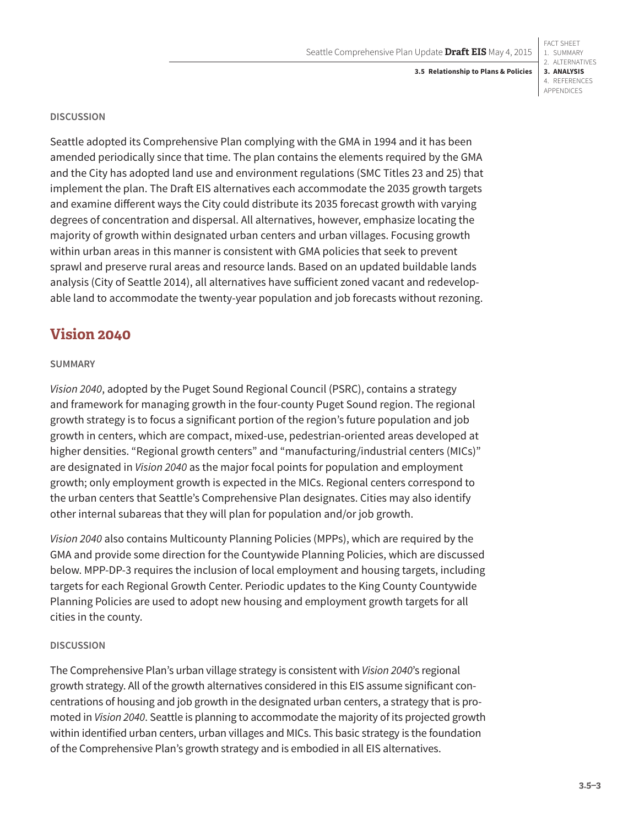FACT SHEET 1. SUMMARY 2. ALTERNATIVES **3. ANALYSIS** 4. REFERENCES APPENDICES

#### **DISCUSSION**

Seattle adopted its Comprehensive Plan complying with the GMA in 1994 and it has been amended periodically since that time. The plan contains the elements required by the GMA and the City has adopted land use and environment regulations (SMC Titles 23 and 25) that implement the plan. The Draft EIS alternatives each accommodate the 2035 growth targets and examine different ways the City could distribute its 2035 forecast growth with varying degrees of concentration and dispersal. All alternatives, however, emphasize locating the majority of growth within designated urban centers and urban villages. Focusing growth within urban areas in this manner is consistent with GMA policies that seek to prevent sprawl and preserve rural areas and resource lands. Based on an updated buildable lands analysis (City of Seattle 2014), all alternatives have sufficient zoned vacant and redevelopable land to accommodate the twenty-year population and job forecasts without rezoning.

# **Vision 2040**

### **SUMMARY**

*Vision 2040*, adopted by the Puget Sound Regional Council (PSRC), contains a strategy and framework for managing growth in the four-county Puget Sound region. The regional growth strategy is to focus a significant portion of the region's future population and job growth in centers, which are compact, mixed-use, pedestrian-oriented areas developed at higher densities. "Regional growth centers" and "manufacturing/industrial centers (MICs)" are designated in *Vision 2040* as the major focal points for population and employment growth; only employment growth is expected in the MICs. Regional centers correspond to the urban centers that Seattle's Comprehensive Plan designates. Cities may also identify other internal subareas that they will plan for population and/or job growth.

*Vision 2040* also contains Multicounty Planning Policies (MPPs), which are required by the GMA and provide some direction for the Countywide Planning Policies, which are discussed below. MPP-DP-3 requires the inclusion of local employment and housing targets, including targets for each Regional Growth Center. Periodic updates to the King County Countywide Planning Policies are used to adopt new housing and employment growth targets for all cities in the county.

### **DISCUSSION**

The Comprehensive Plan's urban village strategy is consistent with *Vision 2040*'s regional growth strategy. All of the growth alternatives considered in this EIS assume significant concentrations of housing and job growth in the designated urban centers, a strategy that is promoted in *Vision 2040*. Seattle is planning to accommodate the majority of its projected growth within identified urban centers, urban villages and MICs. This basic strategy is the foundation of the Comprehensive Plan's growth strategy and is embodied in all EIS alternatives.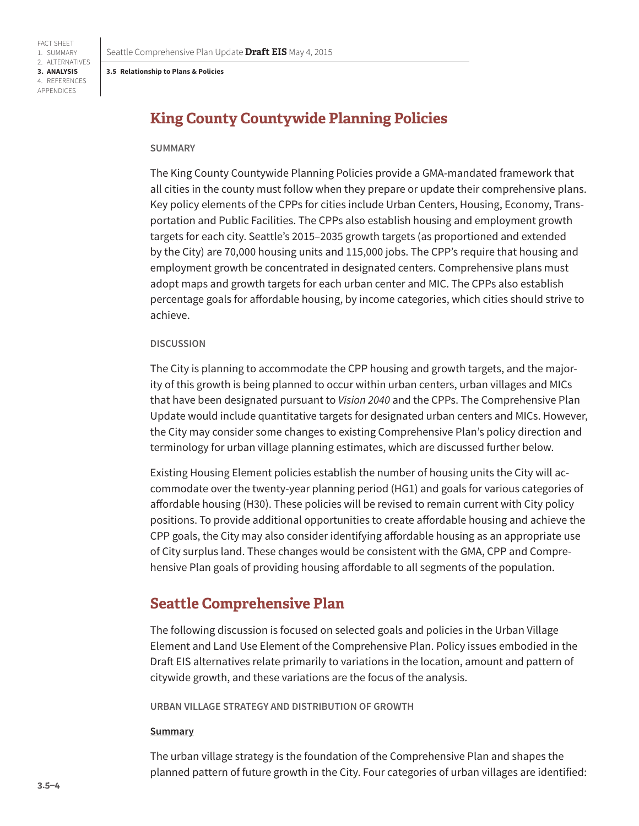FACT SHEET 1. SUMMARY 2. ALTERNATIVES **3. ANALYSIS** 4. REFERENCES APPENDICES

Seattle Comprehensive Plan Update **Draft EIS** May 4, 2015

#### **3.5 Relationship to Plans & Policies**

# **King County Countywide Planning Policies**

#### **SUMMARY**

The King County Countywide Planning Policies provide a GMA-mandated framework that all cities in the county must follow when they prepare or update their comprehensive plans. Key policy elements of the CPPs for cities include Urban Centers, Housing, Economy, Transportation and Public Facilities. The CPPs also establish housing and employment growth targets for each city. Seattle's 2015–2035 growth targets (as proportioned and extended by the City) are 70,000 housing units and 115,000 jobs. The CPP's require that housing and employment growth be concentrated in designated centers. Comprehensive plans must adopt maps and growth targets for each urban center and MIC. The CPPs also establish percentage goals for affordable housing, by income categories, which cities should strive to achieve.

### **DISCUSSION**

The City is planning to accommodate the CPP housing and growth targets, and the majority of this growth is being planned to occur within urban centers, urban villages and MICs that have been designated pursuant to *Vision 2040* and the CPPs. The Comprehensive Plan Update would include quantitative targets for designated urban centers and MICs. However, the City may consider some changes to existing Comprehensive Plan's policy direction and terminology for urban village planning estimates, which are discussed further below.

Existing Housing Element policies establish the number of housing units the City will accommodate over the twenty-year planning period (HG1) and goals for various categories of affordable housing (H30). These policies will be revised to remain current with City policy positions. To provide additional opportunities to create affordable housing and achieve the CPP goals, the City may also consider identifying affordable housing as an appropriate use of City surplus land. These changes would be consistent with the GMA, CPP and Comprehensive Plan goals of providing housing affordable to all segments of the population.

# **Seattle Comprehensive Plan**

The following discussion is focused on selected goals and policies in the Urban Village Element and Land Use Element of the Comprehensive Plan. Policy issues embodied in the Draft EIS alternatives relate primarily to variations in the location, amount and pattern of citywide growth, and these variations are the focus of the analysis.

**URBAN VILLAGE STRATEGY AND DISTRIBUTION OF GROWTH**

#### **Summary**

The urban village strategy is the foundation of the Comprehensive Plan and shapes the planned pattern of future growth in the City. Four categories of urban villages are identified: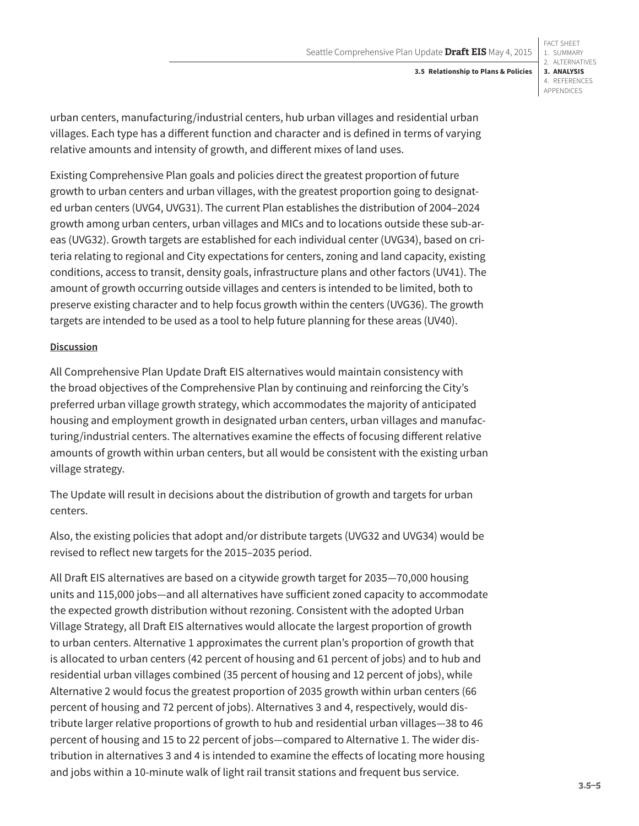FACT SHEET 1. SUMMARY 2. ALTERNATIVES **3. ANALYSIS** 4. REFERENCES APPENDICES

urban centers, manufacturing/industrial centers, hub urban villages and residential urban villages. Each type has a different function and character and is defined in terms of varying relative amounts and intensity of growth, and different mixes of land uses.

Existing Comprehensive Plan goals and policies direct the greatest proportion of future growth to urban centers and urban villages, with the greatest proportion going to designated urban centers (UVG4, UVG31). The current Plan establishes the distribution of 2004–2024 growth among urban centers, urban villages and MICs and to locations outside these sub-areas (UVG32). Growth targets are established for each individual center (UVG34), based on criteria relating to regional and City expectations for centers, zoning and land capacity, existing conditions, access to transit, density goals, infrastructure plans and other factors (UV41). The amount of growth occurring outside villages and centers is intended to be limited, both to preserve existing character and to help focus growth within the centers (UVG36). The growth targets are intended to be used as a tool to help future planning for these areas (UV40).

# **Discussion**

All Comprehensive Plan Update Draft EIS alternatives would maintain consistency with the broad objectives of the Comprehensive Plan by continuing and reinforcing the City's preferred urban village growth strategy, which accommodates the majority of anticipated housing and employment growth in designated urban centers, urban villages and manufacturing/industrial centers. The alternatives examine the effects of focusing different relative amounts of growth within urban centers, but all would be consistent with the existing urban village strategy.

The Update will result in decisions about the distribution of growth and targets for urban centers.

Also, the existing policies that adopt and/or distribute targets (UVG32 and UVG34) would be revised to reflect new targets for the 2015–2035 period.

All Draft EIS alternatives are based on a citywide growth target for 2035—70,000 housing units and 115,000 jobs—and all alternatives have sufficient zoned capacity to accommodate the expected growth distribution without rezoning. Consistent with the adopted Urban Village Strategy, all Draft EIS alternatives would allocate the largest proportion of growth to urban centers. Alternative 1 approximates the current plan's proportion of growth that is allocated to urban centers (42 percent of housing and 61 percent of jobs) and to hub and residential urban villages combined (35 percent of housing and 12 percent of jobs), while Alternative 2 would focus the greatest proportion of 2035 growth within urban centers (66 percent of housing and 72 percent of jobs). Alternatives 3 and 4, respectively, would distribute larger relative proportions of growth to hub and residential urban villages—38 to 46 percent of housing and 15 to 22 percent of jobs—compared to Alternative 1. The wider distribution in alternatives 3 and 4 is intended to examine the effects of locating more housing and jobs within a 10-minute walk of light rail transit stations and frequent bus service.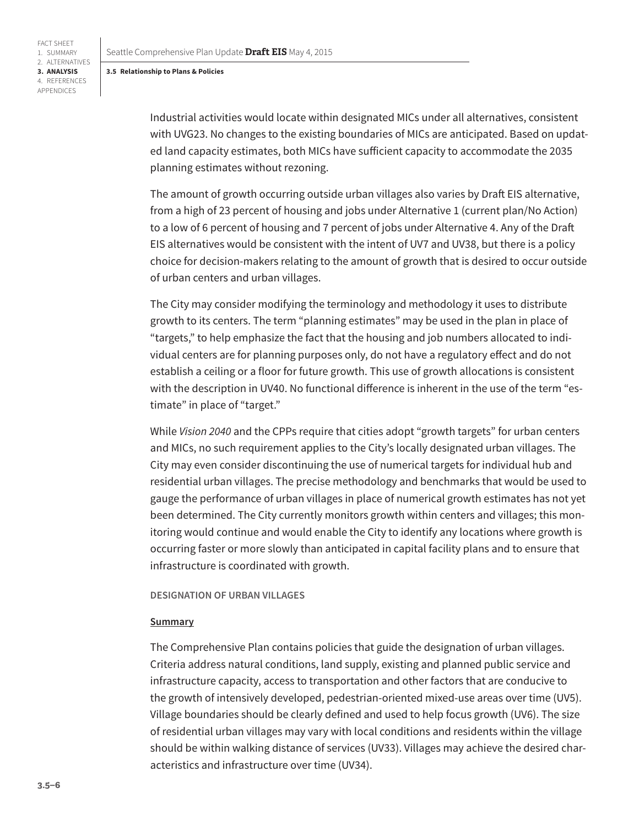FACT SHEET 1. SUMMARY 2. ALTERNATIVES **3. ANALYSIS** 4. REFERENCES APPENDICES

> Industrial activities would locate within designated MICs under all alternatives, consistent with UVG23. No changes to the existing boundaries of MICs are anticipated. Based on updated land capacity estimates, both MICs have sufficient capacity to accommodate the 2035 planning estimates without rezoning.

The amount of growth occurring outside urban villages also varies by Draft EIS alternative, from a high of 23 percent of housing and jobs under Alternative 1 (current plan/No Action) to a low of 6 percent of housing and 7 percent of jobs under Alternative 4. Any of the Draft EIS alternatives would be consistent with the intent of UV7 and UV38, but there is a policy choice for decision-makers relating to the amount of growth that is desired to occur outside of urban centers and urban villages.

The City may consider modifying the terminology and methodology it uses to distribute growth to its centers. The term "planning estimates" may be used in the plan in place of "targets," to help emphasize the fact that the housing and job numbers allocated to individual centers are for planning purposes only, do not have a regulatory effect and do not establish a ceiling or a floor for future growth. This use of growth allocations is consistent with the description in UV40. No functional difference is inherent in the use of the term "estimate" in place of "target."

While *Vision 2040* and the CPPs require that cities adopt "growth targets" for urban centers and MICs, no such requirement applies to the City's locally designated urban villages. The City may even consider discontinuing the use of numerical targets for individual hub and residential urban villages. The precise methodology and benchmarks that would be used to gauge the performance of urban villages in place of numerical growth estimates has not yet been determined. The City currently monitors growth within centers and villages; this monitoring would continue and would enable the City to identify any locations where growth is occurring faster or more slowly than anticipated in capital facility plans and to ensure that infrastructure is coordinated with growth.

### **DESIGNATION OF URBAN VILLAGES**

#### **Summary**

The Comprehensive Plan contains policies that guide the designation of urban villages. Criteria address natural conditions, land supply, existing and planned public service and infrastructure capacity, access to transportation and other factors that are conducive to the growth of intensively developed, pedestrian-oriented mixed-use areas over time (UV5). Village boundaries should be clearly defined and used to help focus growth (UV6). The size of residential urban villages may vary with local conditions and residents within the village should be within walking distance of services (UV33). Villages may achieve the desired characteristics and infrastructure over time (UV34).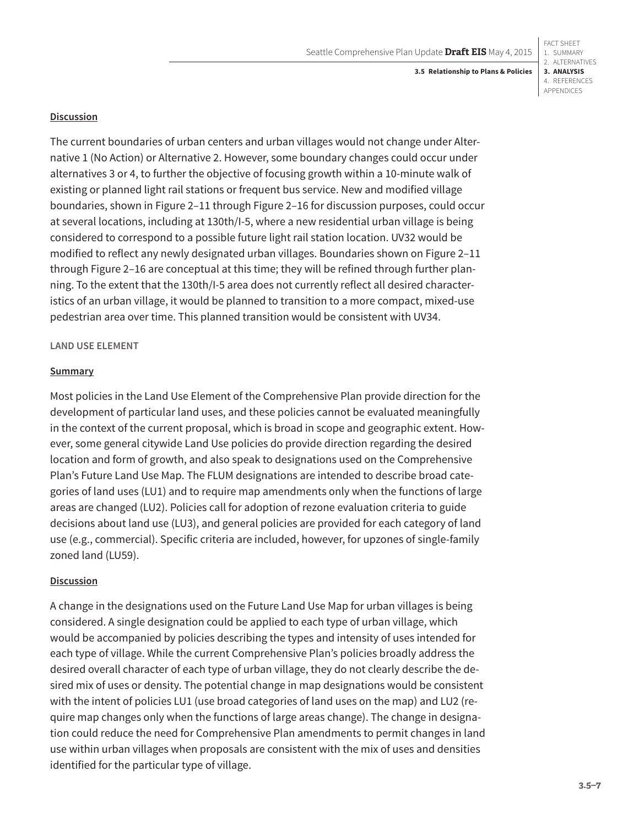# **Discussion**

The current boundaries of urban centers and urban villages would not change under Alternative 1 (No Action) or Alternative 2. However, some boundary changes could occur under alternatives 3 or 4, to further the objective of focusing growth within a 10-minute walk of existing or planned light rail stations or frequent bus service. New and modified village boundaries, shown in Figure 2–11 through Figure 2–16 for discussion purposes, could occur at several locations, including at 130th/I-5, where a new residential urban village is being considered to correspond to a possible future light rail station location. UV32 would be modified to reflect any newly designated urban villages. Boundaries shown on Figure 2–11 through Figure 2–16 are conceptual at this time; they will be refined through further planning. To the extent that the 130th/I-5 area does not currently reflect all desired characteristics of an urban village, it would be planned to transition to a more compact, mixed-use pedestrian area over time. This planned transition would be consistent with UV34.

# **LAND USE ELEMENT**

# **Summary**

Most policies in the Land Use Element of the Comprehensive Plan provide direction for the development of particular land uses, and these policies cannot be evaluated meaningfully in the context of the current proposal, which is broad in scope and geographic extent. However, some general citywide Land Use policies do provide direction regarding the desired location and form of growth, and also speak to designations used on the Comprehensive Plan's Future Land Use Map. The FLUM designations are intended to describe broad categories of land uses (LU1) and to require map amendments only when the functions of large areas are changed (LU2). Policies call for adoption of rezone evaluation criteria to guide decisions about land use (LU3), and general policies are provided for each category of land use (e.g., commercial). Specific criteria are included, however, for upzones of single-family zoned land (LU59).

# **Discussion**

A change in the designations used on the Future Land Use Map for urban villages is being considered. A single designation could be applied to each type of urban village, which would be accompanied by policies describing the types and intensity of uses intended for each type of village. While the current Comprehensive Plan's policies broadly address the desired overall character of each type of urban village, they do not clearly describe the desired mix of uses or density. The potential change in map designations would be consistent with the intent of policies LU1 (use broad categories of land uses on the map) and LU2 (require map changes only when the functions of large areas change). The change in designation could reduce the need for Comprehensive Plan amendments to permit changes in land use within urban villages when proposals are consistent with the mix of uses and densities identified for the particular type of village.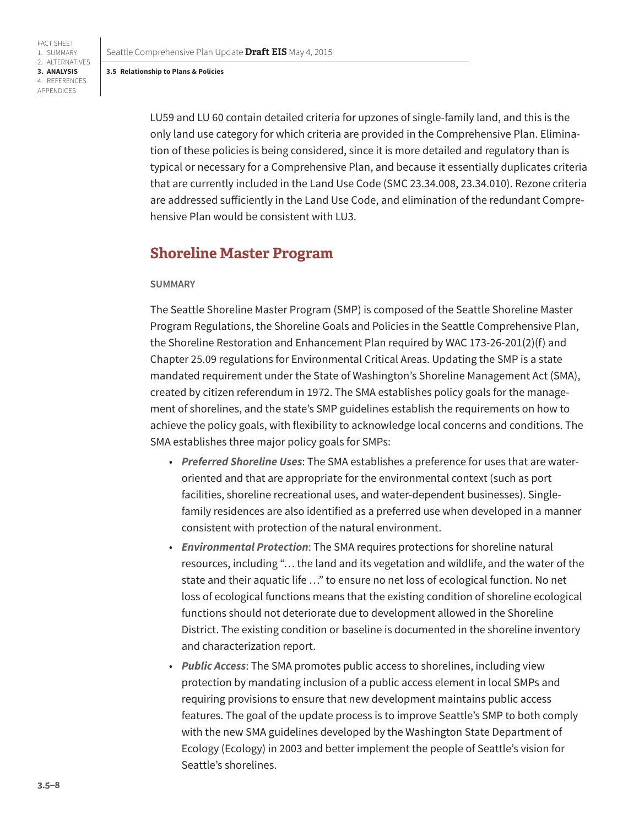Seattle Comprehensive Plan Update **Draft EIS** May 4, 2015

#### **3.5 Relationship to Plans & Policies**

FACT SHEET 1. SUMMARY 2. ALTERNATIVES **3. ANALYSIS** 4. REFERENCES APPENDICES

> LU59 and LU 60 contain detailed criteria for upzones of single-family land, and this is the only land use category for which criteria are provided in the Comprehensive Plan. Elimination of these policies is being considered, since it is more detailed and regulatory than is typical or necessary for a Comprehensive Plan, and because it essentially duplicates criteria that are currently included in the Land Use Code (SMC 23.34.008, 23.34.010). Rezone criteria are addressed sufficiently in the Land Use Code, and elimination of the redundant Comprehensive Plan would be consistent with LU3.

# **Shoreline Master Program**

### **SUMMARY**

The Seattle Shoreline Master Program (SMP) is composed of the Seattle Shoreline Master Program Regulations, the Shoreline Goals and Policies in the Seattle Comprehensive Plan, the Shoreline Restoration and Enhancement Plan required by WAC 173-26-201(2)(f) and Chapter 25.09 regulations for Environmental Critical Areas. Updating the SMP is a state mandated requirement under the State of Washington's Shoreline Management Act (SMA), created by citizen referendum in 1972. The SMA establishes policy goals for the management of shorelines, and the state's SMP guidelines establish the requirements on how to achieve the policy goals, with flexibility to acknowledge local concerns and conditions. The SMA establishes three major policy goals for SMPs:

- *Preferred Shoreline Uses*: The SMA establishes a preference for uses that are wateroriented and that are appropriate for the environmental context (such as port facilities, shoreline recreational uses, and water-dependent businesses). Singlefamily residences are also identified as a preferred use when developed in a manner consistent with protection of the natural environment.
- *Environmental Protection*: The SMA requires protections for shoreline natural resources, including "… the land and its vegetation and wildlife, and the water of the state and their aquatic life …" to ensure no net loss of ecological function. No net loss of ecological functions means that the existing condition of shoreline ecological functions should not deteriorate due to development allowed in the Shoreline District. The existing condition or baseline is documented in the shoreline inventory and characterization report.
- *Public Access*: The SMA promotes public access to shorelines, including view protection by mandating inclusion of a public access element in local SMPs and requiring provisions to ensure that new development maintains public access features. The goal of the update process is to improve Seattle's SMP to both comply with the new SMA guidelines developed by the Washington State Department of Ecology (Ecology) in 2003 and better implement the people of Seattle's vision for Seattle's shorelines.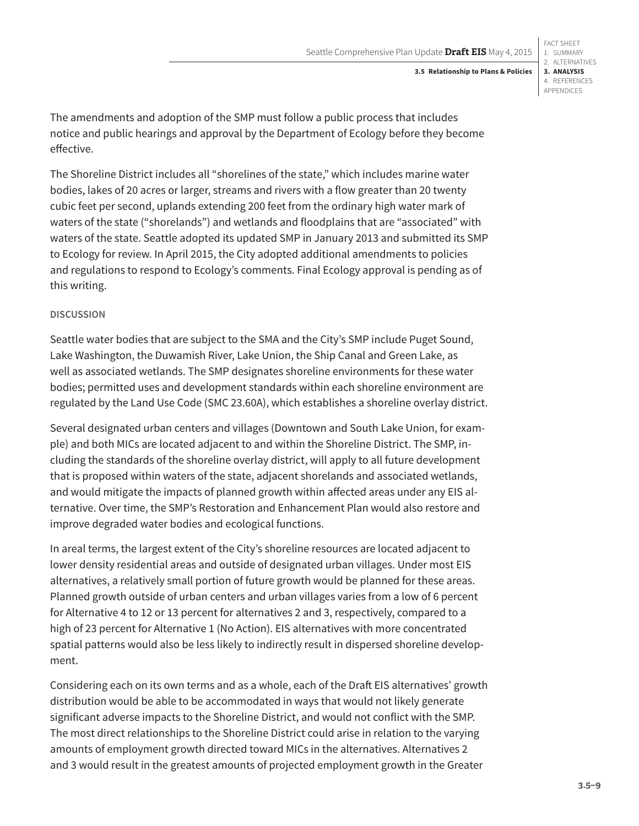#### 1. SUMMARY 2. ALTERNATIVES **3. ANALYSIS** 4. REFERENCES APPENDICES **3.5 Relationship to Plans & Policies**

FACT SHEET

The amendments and adoption of the SMP must follow a public process that includes notice and public hearings and approval by the Department of Ecology before they become effective.

The Shoreline District includes all "shorelines of the state," which includes marine water bodies, lakes of 20 acres or larger, streams and rivers with a flow greater than 20 twenty cubic feet per second, uplands extending 200 feet from the ordinary high water mark of waters of the state ("shorelands") and wetlands and floodplains that are "associated" with waters of the state. Seattle adopted its updated SMP in January 2013 and submitted its SMP to Ecology for review. In April 2015, the City adopted additional amendments to policies and regulations to respond to Ecology's comments. Final Ecology approval is pending as of this writing.

# **DISCUSSION**

Seattle water bodies that are subject to the SMA and the City's SMP include Puget Sound, Lake Washington, the Duwamish River, Lake Union, the Ship Canal and Green Lake, as well as associated wetlands. The SMP designates shoreline environments for these water bodies; permitted uses and development standards within each shoreline environment are regulated by the Land Use Code (SMC 23.60A), which establishes a shoreline overlay district.

Several designated urban centers and villages (Downtown and South Lake Union, for example) and both MICs are located adjacent to and within the Shoreline District. The SMP, including the standards of the shoreline overlay district, will apply to all future development that is proposed within waters of the state, adjacent shorelands and associated wetlands, and would mitigate the impacts of planned growth within affected areas under any EIS alternative. Over time, the SMP's Restoration and Enhancement Plan would also restore and improve degraded water bodies and ecological functions.

In areal terms, the largest extent of the City's shoreline resources are located adjacent to lower density residential areas and outside of designated urban villages. Under most EIS alternatives, a relatively small portion of future growth would be planned for these areas. Planned growth outside of urban centers and urban villages varies from a low of 6 percent for Alternative 4 to 12 or 13 percent for alternatives 2 and 3, respectively, compared to a high of 23 percent for Alternative 1 (No Action). EIS alternatives with more concentrated spatial patterns would also be less likely to indirectly result in dispersed shoreline development.

Considering each on its own terms and as a whole, each of the Draft EIS alternatives' growth distribution would be able to be accommodated in ways that would not likely generate significant adverse impacts to the Shoreline District, and would not conflict with the SMP. The most direct relationships to the Shoreline District could arise in relation to the varying amounts of employment growth directed toward MICs in the alternatives. Alternatives 2 and 3 would result in the greatest amounts of projected employment growth in the Greater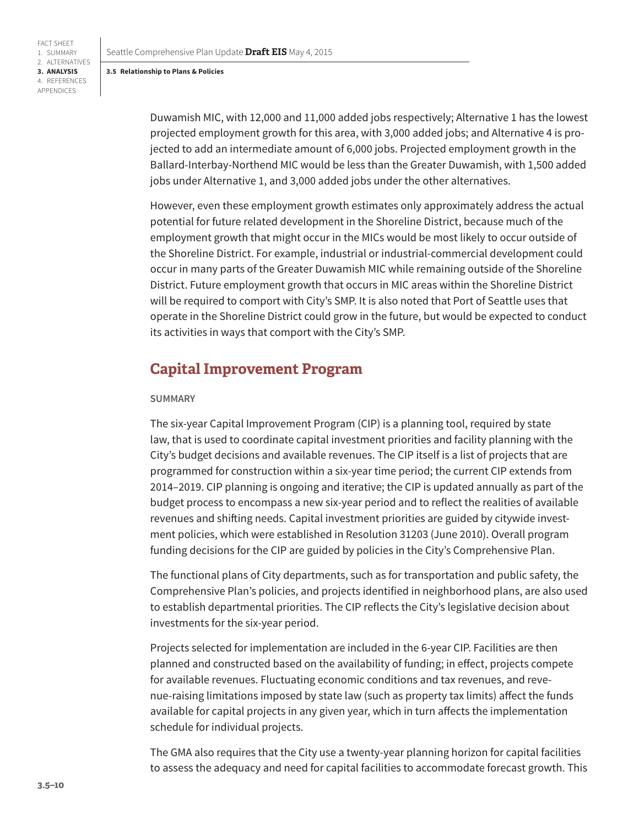Seattle Comprehensive Plan Update **Draft EIS** May 4, 2015

#### **3.5 Relationship to Plans & Policies**

FACT SHEET 1. SUMMARY 2. ALTERNATIVES **3. ANALYSIS** 4. REFERENCES APPENDICES

> Duwamish MIC, with 12,000 and 11,000 added jobs respectively; Alternative 1 has the lowest projected employment growth for this area, with 3,000 added jobs; and Alternative 4 is projected to add an intermediate amount of 6,000 jobs. Projected employment growth in the Ballard-Interbay-Northend MIC would be less than the Greater Duwamish, with 1,500 added jobs under Alternative 1, and 3,000 added jobs under the other alternatives.

> However, even these employment growth estimates only approximately address the actual potential for future related development in the Shoreline District, because much of the employment growth that might occur in the MICs would be most likely to occur outside of the Shoreline District. For example, industrial or industrial-commercial development could occur in many parts of the Greater Duwamish MIC while remaining outside of the Shoreline District. Future employment growth that occurs in MIC areas within the Shoreline District will be required to comport with City's SMP. It is also noted that Port of Seattle uses that operate in the Shoreline District could grow in the future, but would be expected to conduct its activities in ways that comport with the City's SMP.

# **Capital Improvement Program**

### **SUMMARY**

The six-year Capital Improvement Program (CIP) is a planning tool, required by state law, that is used to coordinate capital investment priorities and facility planning with the City's budget decisions and available revenues. The CIP itself is a list of projects that are programmed for construction within a six-year time period; the current CIP extends from 2014–2019. CIP planning is ongoing and iterative; the CIP is updated annually as part of the budget process to encompass a new six-year period and to reflect the realities of available revenues and shifting needs. Capital investment priorities are guided by citywide investment policies, which were established in Resolution 31203 (June 2010). Overall program funding decisions for the CIP are guided by policies in the City's Comprehensive Plan.

The functional plans of City departments, such as for transportation and public safety, the Comprehensive Plan's policies, and projects identified in neighborhood plans, are also used to establish departmental priorities. The CIP reflects the City's legislative decision about investments for the six-year period.

Projects selected for implementation are included in the 6-year CIP. Facilities are then planned and constructed based on the availability of funding; in effect, projects compete for available revenues. Fluctuating economic conditions and tax revenues, and revenue-raising limitations imposed by state law (such as property tax limits) affect the funds available for capital projects in any given year, which in turn affects the implementation schedule for individual projects.

The GMA also requires that the City use a twenty-year planning horizon for capital facilities to assess the adequacy and need for capital facilities to accommodate forecast growth. This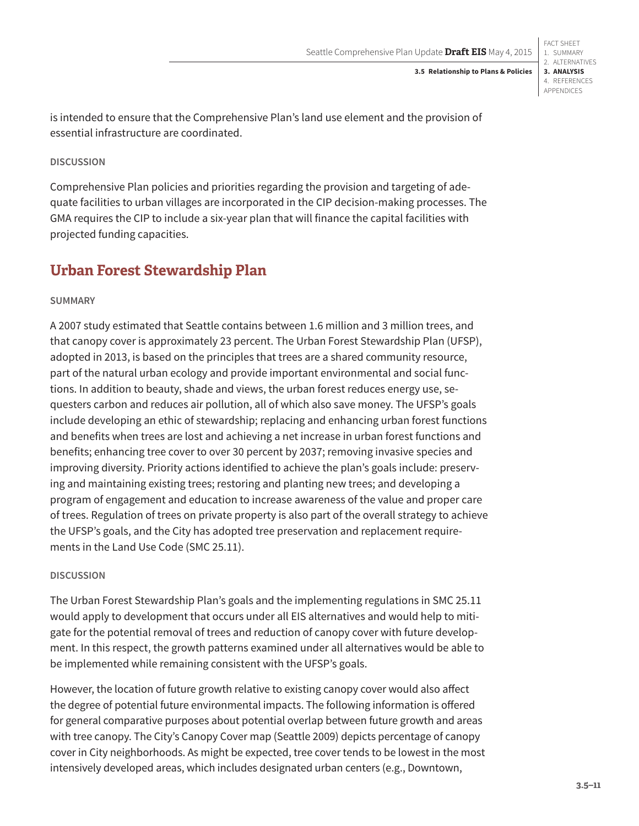FACT SHEET 1. SUMMARY 2. ALTERNATIVES **3. ANALYSIS** 4. REFERENCES APPENDICES

is intended to ensure that the Comprehensive Plan's land use element and the provision of essential infrastructure are coordinated.

# **DISCUSSION**

Comprehensive Plan policies and priorities regarding the provision and targeting of adequate facilities to urban villages are incorporated in the CIP decision-making processes. The GMA requires the CIP to include a six-year plan that will finance the capital facilities with projected funding capacities.

# **Urban Forest Stewardship Plan**

# **SUMMARY**

A 2007 study estimated that Seattle contains between 1.6 million and 3 million trees, and that canopy cover is approximately 23 percent. The Urban Forest Stewardship Plan (UFSP), adopted in 2013, is based on the principles that trees are a shared community resource, part of the natural urban ecology and provide important environmental and social functions. In addition to beauty, shade and views, the urban forest reduces energy use, sequesters carbon and reduces air pollution, all of which also save money. The UFSP's goals include developing an ethic of stewardship; replacing and enhancing urban forest functions and benefits when trees are lost and achieving a net increase in urban forest functions and benefits; enhancing tree cover to over 30 percent by 2037; removing invasive species and improving diversity. Priority actions identified to achieve the plan's goals include: preserving and maintaining existing trees; restoring and planting new trees; and developing a program of engagement and education to increase awareness of the value and proper care of trees. Regulation of trees on private property is also part of the overall strategy to achieve the UFSP's goals, and the City has adopted tree preservation and replacement requirements in the Land Use Code (SMC 25.11).

### **DISCUSSION**

The Urban Forest Stewardship Plan's goals and the implementing regulations in SMC 25.11 would apply to development that occurs under all EIS alternatives and would help to mitigate for the potential removal of trees and reduction of canopy cover with future development. In this respect, the growth patterns examined under all alternatives would be able to be implemented while remaining consistent with the UFSP's goals.

However, the location of future growth relative to existing canopy cover would also affect the degree of potential future environmental impacts. The following information is offered for general comparative purposes about potential overlap between future growth and areas with tree canopy. The City's Canopy Cover map (Seattle 2009) depicts percentage of canopy cover in City neighborhoods. As might be expected, tree cover tends to be lowest in the most intensively developed areas, which includes designated urban centers (e.g., Downtown,